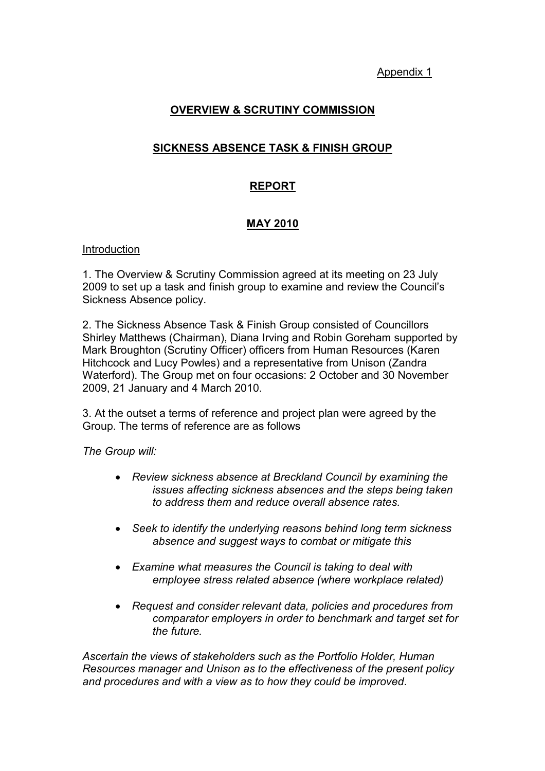Appendix 1

# OVERVIEW & SCRUTINY COMMISSION

# SICKNESS ABSENCE TASK & FINISH GROUP

## REPORT

## MAY 2010

#### Introduction

1. The Overview & Scrutiny Commission agreed at its meeting on 23 July 2009 to set up a task and finish group to examine and review the Council's Sickness Absence policy.

2. The Sickness Absence Task & Finish Group consisted of Councillors Shirley Matthews (Chairman), Diana Irving and Robin Goreham supported by Mark Broughton (Scrutiny Officer) officers from Human Resources (Karen Hitchcock and Lucy Powles) and a representative from Unison (Zandra Waterford). The Group met on four occasions: 2 October and 30 November 2009, 21 January and 4 March 2010.

3. At the outset a terms of reference and project plan were agreed by the Group. The terms of reference are as follows

The Group will:

- Review sickness absence at Breckland Council by examining the issues affecting sickness absences and the steps being taken to address them and reduce overall absence rates.
- Seek to identify the underlying reasons behind long term sickness absence and suggest ways to combat or mitigate this
- Examine what measures the Council is taking to deal with employee stress related absence (where workplace related)
- Request and consider relevant data, policies and procedures from comparator employers in order to benchmark and target set for the future.

Ascertain the views of stakeholders such as the Portfolio Holder, Human Resources manager and Unison as to the effectiveness of the present policy and procedures and with a view as to how they could be improved.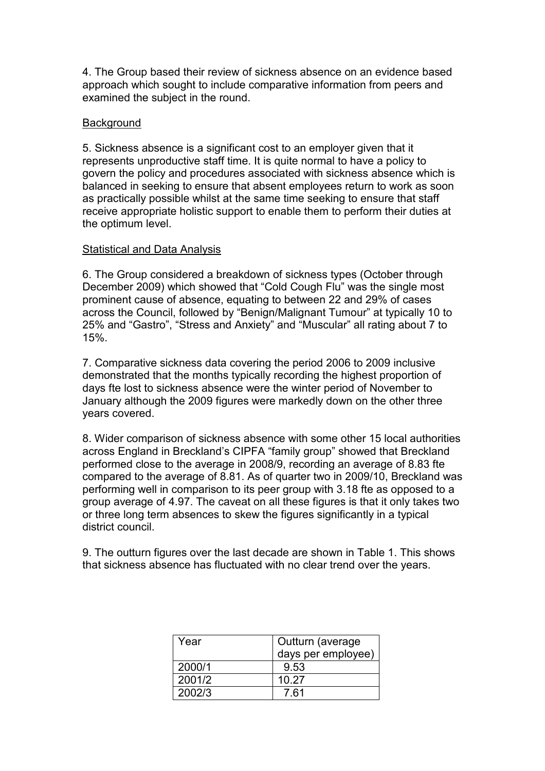4. The Group based their review of sickness absence on an evidence based approach which sought to include comparative information from peers and examined the subject in the round.

### **Background**

5. Sickness absence is a significant cost to an employer given that it represents unproductive staff time. It is quite normal to have a policy to govern the policy and procedures associated with sickness absence which is balanced in seeking to ensure that absent employees return to work as soon as practically possible whilst at the same time seeking to ensure that staff receive appropriate holistic support to enable them to perform their duties at the optimum level.

#### Statistical and Data Analysis

6. The Group considered a breakdown of sickness types (October through December 2009) which showed that "Cold Cough Flu" was the single most prominent cause of absence, equating to between 22 and 29% of cases across the Council, followed by "Benign/Malignant Tumour" at typically 10 to 25% and "Gastro", "Stress and Anxiety" and "Muscular" all rating about 7 to 15%.

7. Comparative sickness data covering the period 2006 to 2009 inclusive demonstrated that the months typically recording the highest proportion of days fte lost to sickness absence were the winter period of November to January although the 2009 figures were markedly down on the other three years covered.

8. Wider comparison of sickness absence with some other 15 local authorities across England in Breckland's CIPFA "family group" showed that Breckland performed close to the average in 2008/9, recording an average of 8.83 fte compared to the average of 8.81. As of quarter two in 2009/10, Breckland was performing well in comparison to its peer group with 3.18 fte as opposed to a group average of 4.97. The caveat on all these figures is that it only takes two or three long term absences to skew the figures significantly in a typical district council.

9. The outturn figures over the last decade are shown in Table 1. This shows that sickness absence has fluctuated with no clear trend over the years.

| Year   | Outturn (average   |
|--------|--------------------|
|        | days per employee) |
| 2000/1 | 9.53               |
| 2001/2 | 10.27              |
| 2002/3 | 7 61               |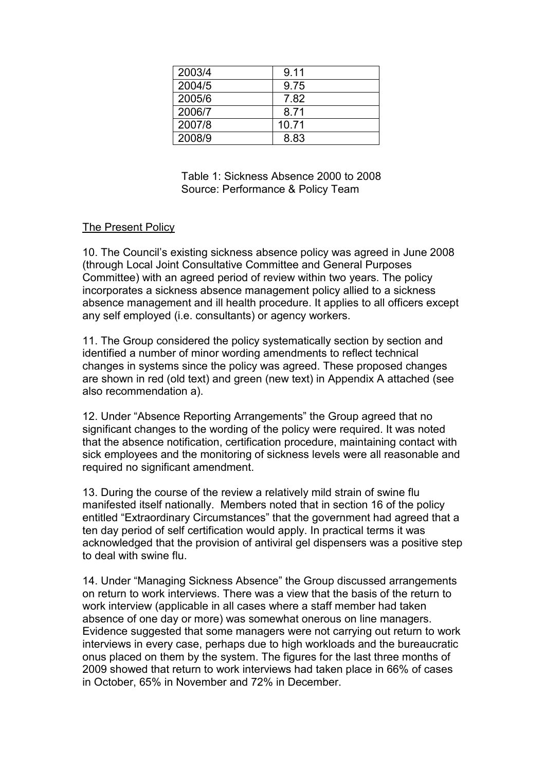| 2003/4 | 9.11  |
|--------|-------|
| 2004/5 | 9.75  |
| 2005/6 | 7.82  |
| 2006/7 | 8.71  |
| 2007/8 | 10.71 |
| 2008/9 | 8.83  |

 Table 1: Sickness Absence 2000 to 2008 Source: Performance & Policy Team

## The Present Policy

10. The Council's existing sickness absence policy was agreed in June 2008 (through Local Joint Consultative Committee and General Purposes Committee) with an agreed period of review within two years. The policy incorporates a sickness absence management policy allied to a sickness absence management and ill health procedure. It applies to all officers except any self employed (i.e. consultants) or agency workers.

11. The Group considered the policy systematically section by section and identified a number of minor wording amendments to reflect technical changes in systems since the policy was agreed. These proposed changes are shown in red (old text) and green (new text) in Appendix A attached (see also recommendation a).

12. Under "Absence Reporting Arrangements" the Group agreed that no significant changes to the wording of the policy were required. It was noted that the absence notification, certification procedure, maintaining contact with sick employees and the monitoring of sickness levels were all reasonable and required no significant amendment.

13. During the course of the review a relatively mild strain of swine flu manifested itself nationally. Members noted that in section 16 of the policy entitled "Extraordinary Circumstances" that the government had agreed that a ten day period of self certification would apply. In practical terms it was acknowledged that the provision of antiviral gel dispensers was a positive step to deal with swine flu.

14. Under "Managing Sickness Absence" the Group discussed arrangements on return to work interviews. There was a view that the basis of the return to work interview (applicable in all cases where a staff member had taken absence of one day or more) was somewhat onerous on line managers. Evidence suggested that some managers were not carrying out return to work interviews in every case, perhaps due to high workloads and the bureaucratic onus placed on them by the system. The figures for the last three months of 2009 showed that return to work interviews had taken place in 66% of cases in October, 65% in November and 72% in December.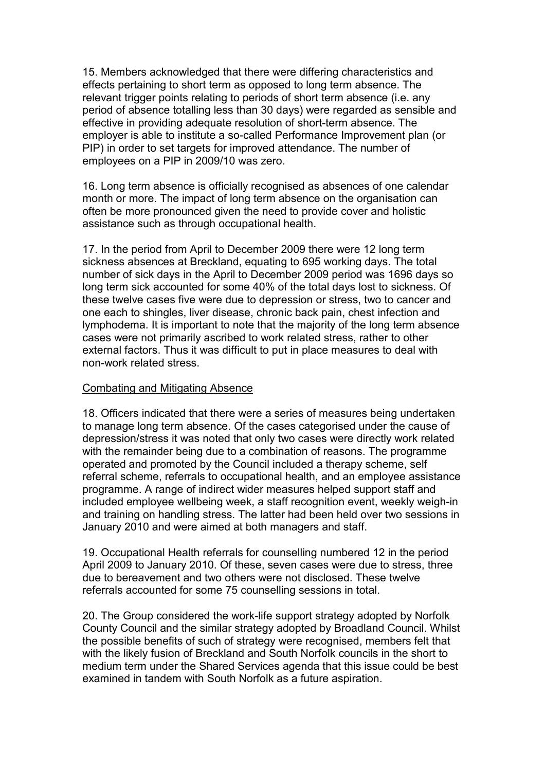15. Members acknowledged that there were differing characteristics and effects pertaining to short term as opposed to long term absence. The relevant trigger points relating to periods of short term absence (i.e. any period of absence totalling less than 30 days) were regarded as sensible and effective in providing adequate resolution of short-term absence. The employer is able to institute a so-called Performance Improvement plan (or PIP) in order to set targets for improved attendance. The number of employees on a PIP in 2009/10 was zero.

16. Long term absence is officially recognised as absences of one calendar month or more. The impact of long term absence on the organisation can often be more pronounced given the need to provide cover and holistic assistance such as through occupational health.

17. In the period from April to December 2009 there were 12 long term sickness absences at Breckland, equating to 695 working days. The total number of sick days in the April to December 2009 period was 1696 days so long term sick accounted for some 40% of the total days lost to sickness. Of these twelve cases five were due to depression or stress, two to cancer and one each to shingles, liver disease, chronic back pain, chest infection and lymphodema. It is important to note that the majority of the long term absence cases were not primarily ascribed to work related stress, rather to other external factors. Thus it was difficult to put in place measures to deal with non-work related stress.

#### Combating and Mitigating Absence

18. Officers indicated that there were a series of measures being undertaken to manage long term absence. Of the cases categorised under the cause of depression/stress it was noted that only two cases were directly work related with the remainder being due to a combination of reasons. The programme operated and promoted by the Council included a therapy scheme, self referral scheme, referrals to occupational health, and an employee assistance programme. A range of indirect wider measures helped support staff and included employee wellbeing week, a staff recognition event, weekly weigh-in and training on handling stress. The latter had been held over two sessions in January 2010 and were aimed at both managers and staff.

19. Occupational Health referrals for counselling numbered 12 in the period April 2009 to January 2010. Of these, seven cases were due to stress, three due to bereavement and two others were not disclosed. These twelve referrals accounted for some 75 counselling sessions in total.

20. The Group considered the work-life support strategy adopted by Norfolk County Council and the similar strategy adopted by Broadland Council. Whilst the possible benefits of such of strategy were recognised, members felt that with the likely fusion of Breckland and South Norfolk councils in the short to medium term under the Shared Services agenda that this issue could be best examined in tandem with South Norfolk as a future aspiration.